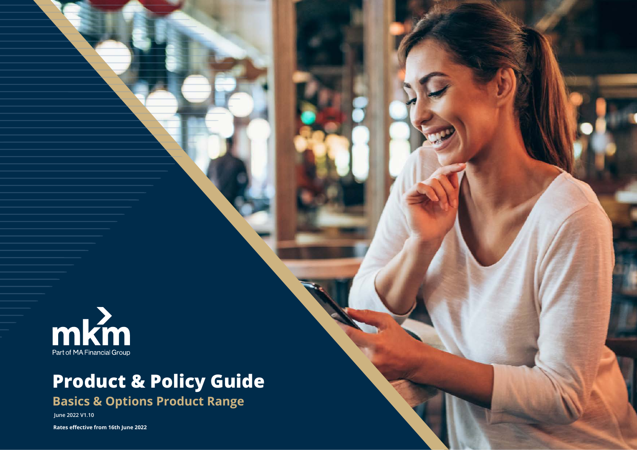

# **Product & Policy Guide**

**Basics & Options Product Range**

**June 2022 V1.10**

**Rates effective from 16th June 2022**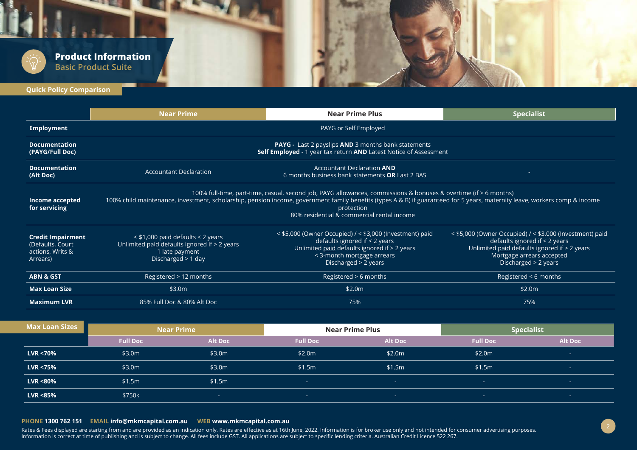

**Quick Policy Comparison**

|                                                                              |                                                                                                                                 | <b>Near Prime</b>                                                                                                                                                                                                                                                                                                                                           |        | <b>Near Prime Plus</b>                                                                                                                                                                                  | <b>Specialist</b>                                                                                                                                                                              |                       |  |  |  |
|------------------------------------------------------------------------------|---------------------------------------------------------------------------------------------------------------------------------|-------------------------------------------------------------------------------------------------------------------------------------------------------------------------------------------------------------------------------------------------------------------------------------------------------------------------------------------------------------|--------|---------------------------------------------------------------------------------------------------------------------------------------------------------------------------------------------------------|------------------------------------------------------------------------------------------------------------------------------------------------------------------------------------------------|-----------------------|--|--|--|
| <b>Employment</b>                                                            |                                                                                                                                 | PAYG or Self Employed                                                                                                                                                                                                                                                                                                                                       |        |                                                                                                                                                                                                         |                                                                                                                                                                                                |                       |  |  |  |
| <b>Documentation</b><br>(PAYG/Full Doc)                                      |                                                                                                                                 | PAYG - Last 2 payslips AND 3 months bank statements<br>Self Employed - 1 year tax return AND Latest Notice of Assessment                                                                                                                                                                                                                                    |        |                                                                                                                                                                                                         |                                                                                                                                                                                                |                       |  |  |  |
| <b>Documentation</b><br>(Alt Doc)                                            |                                                                                                                                 | <b>Accountant Declaration</b>                                                                                                                                                                                                                                                                                                                               |        | <b>Accountant Declaration AND</b><br>6 months business bank statements OR Last 2 BAS                                                                                                                    |                                                                                                                                                                                                |                       |  |  |  |
| <b>Income accepted</b><br>for servicing                                      |                                                                                                                                 | 100% full-time, part-time, casual, second job, PAYG allowances, commissions & bonuses & overtime (if > 6 months)<br>100% child maintenance, investment, scholarship, pension income, government family benefits (types A & B) if guaranteed for 5 years, maternity leave, workers comp & income<br>protection<br>80% residential & commercial rental income |        |                                                                                                                                                                                                         |                                                                                                                                                                                                |                       |  |  |  |
| <b>Credit Impairment</b><br>(Defaults, Court<br>actions, Writs &<br>Arrears) | $<$ \$1,000 paid defaults $<$ 2 years<br>Unlimited paid defaults ignored if > 2 years<br>1 late payment<br>Discharged $>$ 1 day |                                                                                                                                                                                                                                                                                                                                                             |        | $\le$ \$5,000 (Owner Occupied) / $\le$ \$3,000 (Investment) paid<br>defaults ignored if < 2 years<br>Unlimited paid defaults ignored if > 2 years<br>< 3-month mortgage arrears<br>Discharged > 2 years | < \$5,000 (Owner Occupied) / < \$3,000 (Investment) paid<br>defaults ignored if < 2 years<br>Unlimited paid defaults ignored if > 2 years<br>Mortgage arrears accepted<br>Discharged > 2 years |                       |  |  |  |
| <b>ABN &amp; GST</b>                                                         | Registered > 12 months                                                                                                          |                                                                                                                                                                                                                                                                                                                                                             |        | Registered > 6 months                                                                                                                                                                                   |                                                                                                                                                                                                | Registered < 6 months |  |  |  |
| <b>Max Loan Size</b>                                                         |                                                                                                                                 | \$3.0m                                                                                                                                                                                                                                                                                                                                                      |        | \$2.0m                                                                                                                                                                                                  |                                                                                                                                                                                                | \$2.0m                |  |  |  |
| <b>Maximum LVR</b>                                                           |                                                                                                                                 | 85% Full Doc & 80% Alt Doc                                                                                                                                                                                                                                                                                                                                  |        | 75%                                                                                                                                                                                                     | 75%                                                                                                                                                                                            |                       |  |  |  |
|                                                                              |                                                                                                                                 |                                                                                                                                                                                                                                                                                                                                                             |        |                                                                                                                                                                                                         |                                                                                                                                                                                                |                       |  |  |  |
| <b>Max Loan Sizes</b>                                                        |                                                                                                                                 | <b>Near Prime</b>                                                                                                                                                                                                                                                                                                                                           |        | <b>Near Prime Plus</b>                                                                                                                                                                                  | <b>Specialist</b>                                                                                                                                                                              |                       |  |  |  |
|                                                                              | <b>Full Doc</b>                                                                                                                 | <b>Alt Doc</b>                                                                                                                                                                                                                                                                                                                                              |        | <b>Alt Doc</b>                                                                                                                                                                                          | <b>Full Doc</b>                                                                                                                                                                                | <b>Alt Doc</b>        |  |  |  |
| <b>LVR &lt;70%</b>                                                           | \$3.0m                                                                                                                          | \$3.0m                                                                                                                                                                                                                                                                                                                                                      | \$2.0m | \$2.0m                                                                                                                                                                                                  | \$2.0m                                                                                                                                                                                         | х.                    |  |  |  |
| <b>LVR &lt;75%</b>                                                           | \$3.0m                                                                                                                          | \$3.0m                                                                                                                                                                                                                                                                                                                                                      | \$1.5m | \$1.5m                                                                                                                                                                                                  | \$1.5m                                                                                                                                                                                         |                       |  |  |  |
| <b>LVR &lt;80%</b>                                                           | \$1.5m                                                                                                                          | \$1.5m                                                                                                                                                                                                                                                                                                                                                      | х.     | reality of                                                                                                                                                                                              | х.                                                                                                                                                                                             | х.                    |  |  |  |
|                                                                              |                                                                                                                                 |                                                                                                                                                                                                                                                                                                                                                             |        |                                                                                                                                                                                                         |                                                                                                                                                                                                |                       |  |  |  |

#### **PHONE 1300 762 151 EMAIL info@mkmcapital.com.au WEB www.mkmcapital.com.au PHONE 1300 762 151 EMAIL info@mkmcapital.com.au WEB www.mkmcapital.com.au**

Rates & Fees displayed are starting from and are provided as an indication only. Rates are effective as at 16th June, 2022. Information is for broker use only and not intended for consumer advertising purposes. Rates & Fees displayed are starting from and are provided as an indication only. Rates are effective as at 16th June, 2022. Information is for broker use only and not intended for consumer advertising purposes.<br>Information Information is correct at time of publishing and is subject to change. All fees include GST. All applications are subject to specific lending criteria. Australian Credit Licence 522 267.

**LVR <85%** \$750k - - - - -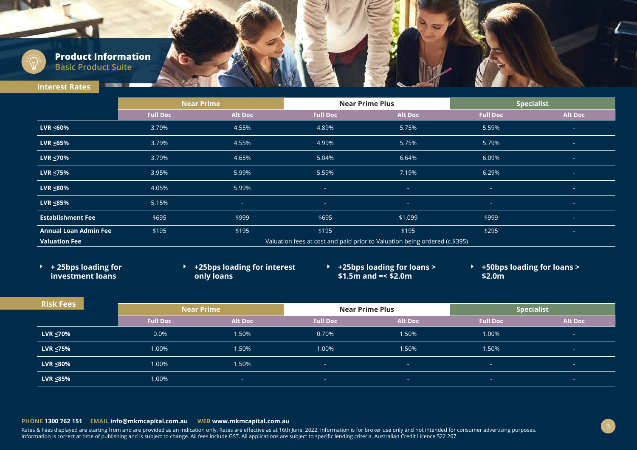

## **Product Information Basic Product Suite**

**Interest Rates**

|                              | <b>Near Prime</b> |                 |                                                                            | <b>Near Prime Plus</b> | <b>Specialist</b> |                |
|------------------------------|-------------------|-----------------|----------------------------------------------------------------------------|------------------------|-------------------|----------------|
|                              | <b>Full Doc</b>   | <b>Alt Doc</b>  | <b>Full Doc</b>                                                            | <b>Alt Doc</b>         | <b>Full Doc</b>   | <b>Alt Doc</b> |
| $LVR \leq 60\%$              | 3.79%             | 4.55%           | 4.89%                                                                      | 5.75%                  | 5.59%             | reality.       |
| LVR $\leq$ 65%               | 3.79%             | 4.55%           | 4.99%                                                                      | 5.75%                  | 5.79%             | the c          |
| $LVR \leq 70\%$              | 3.79%             | 4.65%           | 5.04%                                                                      | 6.64%                  | 6.09%             | <b>Section</b> |
| $LVR \leq 75%$               | 3.95%             | 5.99%           | 5.59%                                                                      | 7.19%                  | 6.29%             | reality.       |
| $LVR \leq 80\%$              | 4.05%             | 5.99%           | ter.                                                                       | . н. н.                | ter.              | the c          |
| LVR $\leq$ 85%               | 5.15%             | <b>Contract</b> | <b>Section</b>                                                             | ×.                     | reality of        | <b>College</b> |
| <b>Establishment Fee</b>     | \$695             | \$999           | \$695                                                                      | \$1,099                | \$999             | the c          |
| <b>Annual Loan Admin Fee</b> | \$195             | \$195           | \$195                                                                      | \$195                  | \$295             | the c          |
| <b>Valuation Fee</b>         |                   |                 | Valuation fees at cost and paid prior to Valuation being ordered (c.\$395) |                        |                   |                |

E **+ 25bps loading for investment loans**

E **+25bps loading for interest only loans**

E **+25bps loading for loans > \$1.5m and =< \$2.0m**

E **+50bps loading for loans > \$2.0m**

| <b>Risk Fees</b>                                                  |                   |         |                 |                        |                   |                 |
|-------------------------------------------------------------------|-------------------|---------|-----------------|------------------------|-------------------|-----------------|
|                                                                   | <b>Near Prime</b> |         |                 | <b>Near Prime Plus</b> | <b>Specialist</b> |                 |
|                                                                   | <b>Full Doc</b>   | Alt Doc | <b>Full Doc</b> | <b>Alt Doc</b>         | <b>Full Doc</b>   | <b>Alt Doc</b>  |
| LVR $\leq 70\%$                                                   | 0.0%              | 1.50%   | 0.70%           | 1.50%                  | 1.00%             | <b>F</b>        |
| $LVR \leq 75%$<br><u> 1989 - Johann Barnett, fransk politik (</u> | 1.00%             | 1.50%   | 1.00%           | 1.50%                  | 1.50%             | <b>Contract</b> |
| LVR $\leq$ 80%                                                    | 1.00%             | 1.50%   | $\sim$          | <b>Contract</b>        | <b>Section</b>    | <b>Contract</b> |
| LVR $\leq$ 85%                                                    | 1.00%             | in a c  | <b>Contract</b> | <b>Contract</b>        |                   | <b>Contract</b> |

### **PHONE 1300 762 151 EMAIL info@mkmcapital.com.au WEB www.mkmcapital.com.au PHONE 1300 762 151 EMAIL info@mkmcapital.com.au WEB www.mkmcapital.com.au**

Rates & Fees displayed are starting from and are provided as an indication only. Rates are effective as at 16th June, 2022. Information is for broker use only and not intended for consumer advertising purposes. Rates & Fees displayed are starting from and are provided as an indication only. Rates are effective as at 16th June, 2022. Information is for broker use only and not intended for consumer advertising purposes.<br>Information Information is correct at time of publishing and is subject to change. All fees include GST. All applications are subject to specific lending criteria. Australian Credit Licence 522 267.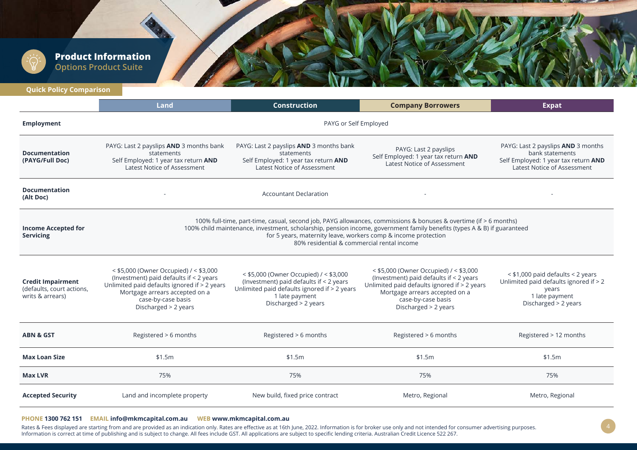

## **Product Information Options Product Suite**

**Quick Policy Comparison**

|                                                                           | Land                                                                                                                                                                                                                                                                                                                                                        | <b>Construction</b>                                                                                                                                                         | <b>Company Borrowers</b>                                                                                                                                                                                          | <b>Expat</b>                                                                                                                   |  |  |  |  |  |
|---------------------------------------------------------------------------|-------------------------------------------------------------------------------------------------------------------------------------------------------------------------------------------------------------------------------------------------------------------------------------------------------------------------------------------------------------|-----------------------------------------------------------------------------------------------------------------------------------------------------------------------------|-------------------------------------------------------------------------------------------------------------------------------------------------------------------------------------------------------------------|--------------------------------------------------------------------------------------------------------------------------------|--|--|--|--|--|
| <b>Employment</b>                                                         |                                                                                                                                                                                                                                                                                                                                                             | PAYG or Self Employed                                                                                                                                                       |                                                                                                                                                                                                                   |                                                                                                                                |  |  |  |  |  |
| <b>Documentation</b><br>(PAYG/Full Doc)                                   | PAYG: Last 2 payslips AND 3 months bank<br>statements<br>Self Employed: 1 year tax return AND<br>Latest Notice of Assessment                                                                                                                                                                                                                                | PAYG: Last 2 payslips <b>AND</b> 3 months bank<br>statements<br>Self Employed: 1 year tax return <b>AND</b><br>Latest Notice of Assessment                                  | PAYG: Last 2 payslips<br>Self Employed: 1 year tax return AND<br>Latest Notice of Assessment                                                                                                                      | PAYG: Last 2 payslips AND 3 months<br>bank statements<br>Self Employed: 1 year tax return AND<br>Latest Notice of Assessment   |  |  |  |  |  |
| <b>Documentation</b><br>(Alt Doc)                                         | <b>Accountant Declaration</b>                                                                                                                                                                                                                                                                                                                               |                                                                                                                                                                             |                                                                                                                                                                                                                   |                                                                                                                                |  |  |  |  |  |
| <b>Income Accepted for</b><br><b>Servicing</b>                            | 100% full-time, part-time, casual, second job, PAYG allowances, commissions & bonuses & overtime (if > 6 months)<br>100% child maintenance, investment, scholarship, pension income, government family benefits (types A & B) if guaranteed<br>for 5 years, maternity leave, workers comp & income protection<br>80% residential & commercial rental income |                                                                                                                                                                             |                                                                                                                                                                                                                   |                                                                                                                                |  |  |  |  |  |
| <b>Credit Impairment</b><br>(defaults, court actions,<br>writs & arrears) | < \$5,000 (Owner Occupied) / < \$3,000<br>(Investment) paid defaults if < 2 years<br>Unlimited paid defaults ignored if > 2 years<br>Mortgage arrears accepted on a<br>case-by-case basis<br>Discharged > 2 years                                                                                                                                           | < \$5,000 (Owner Occupied) / < \$3,000<br>(Investment) paid defaults if < 2 years<br>Unlimited paid defaults ignored if > 2 years<br>1 late payment<br>Discharged > 2 years | < \$5,000 (Owner Occupied) / < \$3,000<br>(Investment) paid defaults if < 2 years<br>Unlimited paid defaults ignored if > 2 years<br>Mortgage arrears accepted on a<br>case-by-case basis<br>Discharged > 2 years | < \$1,000 paid defaults < 2 years<br>Unlimited paid defaults ignored if > 2<br>years<br>1 late payment<br>Discharged > 2 years |  |  |  |  |  |
| <b>ABN &amp; GST</b>                                                      | Registered > 6 months                                                                                                                                                                                                                                                                                                                                       | Registered > 6 months                                                                                                                                                       | Registered > 6 months                                                                                                                                                                                             | Registered > 12 months                                                                                                         |  |  |  |  |  |
| <b>Max Loan Size</b>                                                      | \$1.5m                                                                                                                                                                                                                                                                                                                                                      | \$1.5m                                                                                                                                                                      | \$1.5m                                                                                                                                                                                                            | \$1.5m                                                                                                                         |  |  |  |  |  |
| <b>Max LVR</b>                                                            | 75%                                                                                                                                                                                                                                                                                                                                                         | 75%                                                                                                                                                                         | 75%                                                                                                                                                                                                               | 75%                                                                                                                            |  |  |  |  |  |
| <b>Accepted Security</b>                                                  | Land and incomplete property                                                                                                                                                                                                                                                                                                                                | New build, fixed price contract                                                                                                                                             | Metro, Regional                                                                                                                                                                                                   | Metro, Regional                                                                                                                |  |  |  |  |  |

#### **PHONE 1300 762 151 EMAIL info@mkmcapital.com.au WEB www.mkmcapital.com.au**

Rates & Fees displayed are starting from and are provided as an indication only. Rates are effective as at 16th June, 2022. Information is for broker use only and not intended for consumer advertising purposes. Information is correct at time of publishing and is subject to change. All fees include GST. All applications are subject to specific lending criteria. Australian Credit Licence 522 267.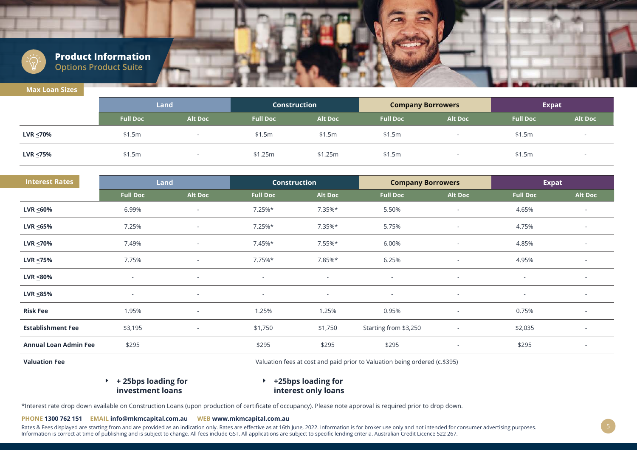

**Max Loan Sizes**

## **Product Information Options Product Suite**

| 111971 19611 91199 |                 |                          |                     |                |                          |                |                 |                |
|--------------------|-----------------|--------------------------|---------------------|----------------|--------------------------|----------------|-----------------|----------------|
|                    | Land            |                          | <b>Construction</b> |                | <b>Company Borrowers</b> |                | <b>Expat</b>    |                |
|                    | <b>Full Doc</b> | <b>Alt Doc</b>           | <b>Full Doc</b>     | <b>Alt Doc</b> | <b>Full Doc</b>          | <b>Alt Doc</b> | <b>Full Doc</b> | <b>Alt Doc</b> |
| LVR $\leq 70\%$    | \$1.5m          | . .                      | \$1.5m              | \$1.5m         | \$1.5m                   |                | \$1.5m          |                |
| LVR $\leq$ 75%     | \$1.5m          | $\overline{\phantom{a}}$ | \$1.25m             | \$1.25m        | \$1.5m                   |                | \$1.5m          |                |

| <b>Interest Rates</b>        | Land            |                                                                            | <b>Construction</b> |                | <b>Company Borrowers</b> |                          | <b>Expat</b>    |                          |
|------------------------------|-----------------|----------------------------------------------------------------------------|---------------------|----------------|--------------------------|--------------------------|-----------------|--------------------------|
|                              | <b>Full Doc</b> | <b>Alt Doc</b>                                                             | <b>Full Doc</b>     | <b>Alt Doc</b> | <b>Full Doc</b>          | <b>Alt Doc</b>           | <b>Full Doc</b> | <b>Alt Doc</b>           |
| $LVR \leq 60\%$              | 6.99%           | $\sim$                                                                     | $7.25%$ *           | 7.35%*         | 5.50%                    | $\overline{\phantom{a}}$ | 4.65%           | ٠                        |
| LVR <u>≤</u> 65%             | 7.25%           | $\sim$                                                                     | $7.25%$ *           | $7.35%$ *      | 5.75%                    | ٠                        | 4.75%           | $\overline{\phantom{a}}$ |
| LVR ≤70%                     | 7.49%           | $\sim$                                                                     | 7.45%*              | 7.55%*         | 6.00%                    | $\overline{\phantom{a}}$ | 4.85%           | $\overline{\phantom{a}}$ |
| LVR ≤75%                     | 7.75%           | $\sim$                                                                     | $7.75%$ *           | 7.85%*         | 6.25%                    | $\overline{\phantom{a}}$ | 4.95%           | $\overline{\phantom{a}}$ |
| $LVR \leq 80\%$              | $\sim$          | $\sim$                                                                     | $\sim$              | $\sim$         | $\sim$                   | $\sim$                   | $\sim$          | $\sim$                   |
| LVR <u>&lt;</u> 85%          | $\sim$          | $\sim$                                                                     | $\sim$              | $\sim$         | $\sim$                   | $\sim$                   | $\sim$          | $\overline{\phantom{a}}$ |
| <b>Risk Fee</b>              | 1.95%           | $\sim$                                                                     | 1.25%               | 1.25%          | 0.95%                    | $\overline{\phantom{a}}$ | 0.75%           | $\overline{\phantom{a}}$ |
| <b>Establishment Fee</b>     | \$3,195         | $\sim$                                                                     | \$1,750             | \$1,750        | Starting from \$3,250    | $\overline{a}$           | \$2,035         | $\overline{\phantom{a}}$ |
| <b>Annual Loan Admin Fee</b> | \$295           |                                                                            | \$295               | \$295          | \$295                    | $\overline{\phantom{a}}$ | \$295           | $\overline{\phantom{a}}$ |
| <b>Valuation Fee</b>         |                 | Valuation fees at cost and paid prior to Valuation being ordered (c.\$395) |                     |                |                          |                          |                 |                          |

E **+ 25bps loading for investment loans**

## E **+25bps loading for interest only loans**

\*Interest rate drop down available on Construction Loans (upon production of certificate of occupancy). Please note approval is required prior to drop down.

#### **PHONE 1300 762 151 EMAIL info@mkmcapital.com.au WEB www.mkmcapital.com.au**

Rates & Fees displayed are starting from and are provided as an indication only. Rates are effective as at 16th June, 2022. Information is for broker use only and not intended for consumer advertising purposes. Information is correct at time of publishing and is subject to change. All fees include GST. All applications are subject to specific lending criteria. Australian Credit Licence 522 267.